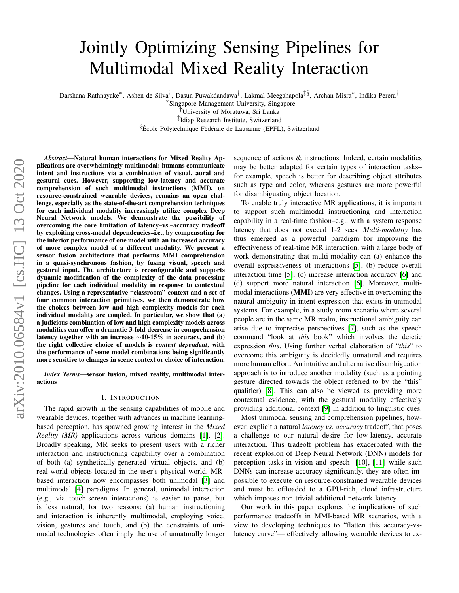# Jointly Optimizing Sensing Pipelines for Multimodal Mixed Reality Interaction

Darshana Rathnayake\*, Ashen de Silva<sup>†</sup>, Dasun Puwakdandawa<sup>†</sup>, Lakmal Meegahapola<sup>‡§</sup>, Archan Misra\*, Indika Perera<sup>†</sup>

∗ Singapore Management University, Singapore

†University of Moratuwa, Sri Lanka

‡ Idiap Research Institute, Switzerland

 $\S$ École Polytechnique Fédérale de Lausanne (EPFL), Switzerland

*Abstract*—Natural human interactions for Mixed Reality Applications are overwhelmingly multimodal: humans communicate intent and instructions via a combination of visual, aural and gestural cues. However, supporting low-latency and accurate comprehension of such multimodal instructions (MMI), on resource-constrained wearable devices, remains an open challenge, especially as the state-of-the-art comprehension techniques for each individual modality increasingly utilize complex Deep Neural Network models. We demonstrate the possibility of overcoming the core limitation of latency–vs.–accuracy tradeoff by exploiting cross-modal dependencies–i.e., by compensating for the inferior performance of one model with an increased accuracy of more complex model of a different modality. We present a sensor fusion architecture that performs MMI comprehension in a quasi-synchronous fashion, by fusing visual, speech and gestural input. The architecture is reconfigurable and supports dynamic modification of the complexity of the data processing pipeline for each individual modality in response to contextual changes. Using a representative "classroom" context and a set of four common interaction primitives, we then demonstrate how the choices between low and high complexity models for each individual modality are coupled. In particular, we show that (a) a judicious combination of low and high complexity models across modalities can offer a dramatic 3-fold decrease in comprehension latency together with an increase  $\sim$ 10-15% in accuracy, and (b) the right collective choice of models is *context dependent*, with the performance of some model combinations being significantly more sensitive to changes in scene context or choice of interaction.

*Index Terms*—sensor fusion, mixed reality, multimodal interactions

#### I. INTRODUCTION

The rapid growth in the sensing capabilities of mobile and wearable devices, together with advances in machine learningbased perception, has spawned growing interest in the *Mixed Reality (MR)* applications across various domains [\[1\]](#page-8-0), [\[2\]](#page-8-1). Broadly speaking, MR seeks to present users with a richer interaction and instructioning capability over a combination of both (a) synthetically-generated virtual objects, and (b) real-world objects located in the user's physical world. MRbased interaction now encompasses both unimodal [\[3\]](#page-8-2) and multimodal [\[4\]](#page-8-3) paradigms. In general, unimodal interaction (e.g., via touch-screen interactions) is easier to parse, but is less natural, for two reasons: (a) human instructioning and interaction is inherently multimodal, employing voice, vision, gestures and touch, and (b) the constraints of unimodal technologies often imply the use of unnaturally longer sequence of actions & instructions. Indeed, certain modalities may be better adapted for certain types of interaction tasks– for example, speech is better for describing object attributes such as type and color, whereas gestures are more powerful for disambiguating object location.

To enable truly interactive MR applications, it is important to support such multimodal instructioning and interaction capability in a real-time fashion–e.g., with a system response latency that does not exceed 1-2 secs. *Multi-modality* has thus emerged as a powerful paradigm for improving the effectiveness of real-time MR interaction, with a large body of work demonstrating that multi-modality can (a) enhance the overall expressiveness of interactions [\[5\]](#page-8-4), (b) reduce overall interaction time [\[5\]](#page-8-4), (c) increase interaction accuracy [\[6\]](#page-8-5) and (d) support more natural interaction [\[6\]](#page-8-5). Moreover, multimodal interactions (MMI) are very effective in overcoming the natural ambiguity in intent expression that exists in unimodal systems. For example, in a study room scenario where several people are in the same MR realm, instructional ambiguity can arise due to imprecise perspectives [\[7\]](#page-8-6), such as the speech command "look at *this* book" which involves the deictic expression *this*. Using further verbal elaboration of "*this*" to overcome this ambiguity is decidedly unnatural and requires more human effort. An intuitive and alternative disambiguation approach is to introduce another modality (such as a pointing gesture directed towards the object referred to by the "this" qualifier) [\[8\]](#page-8-7). This can also be viewed as providing more contextual evidence, with the gestural modality effectively providing additional context [\[9\]](#page-8-8) in addition to linguistic cues.

Most unimodal sensing and comprehension pipelines, however, explicit a natural *latency vs. accuracy* tradeoff, that poses a challenge to our natural desire for low-latency, accurate interaction. This tradeoff problem has exacerbated with the recent explosion of Deep Neural Network (DNN) models for perception tasks in vision and speech [\[10\]](#page-8-9), [\[11\]](#page-8-10)–while such DNNs can increase accuracy significantly, they are often impossible to execute on resource-constrained wearable devices and must be offloaded to a GPU-rich, cloud infrastructure which imposes non-trivial additional network latency.

Our work in this paper explores the implications of such performance tradeoffs in MMI-based MR scenarios, with a view to developing techniques to "flatten this accuracy-vslatency curve"— effectively, allowing wearable devices to ex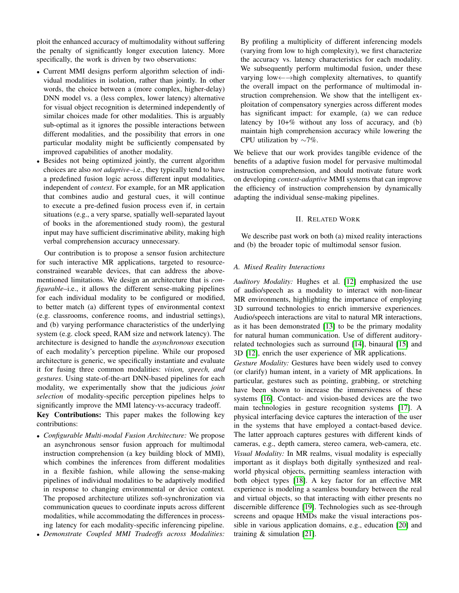ploit the enhanced accuracy of multimodality without suffering the penalty of significantly longer execution latency. More specifically, the work is driven by two observations:

- Current MMI designs perform algorithm selection of individual modalities in isolation, rather than jointly. In other words, the choice between a (more complex, higher-delay) DNN model vs. a (less complex, lower latency) alternative for visual object recognition is determined independently of similar choices made for other modalities. This is arguably sub-optimal as it ignores the possible interactions between different modalities, and the possibility that errors in one particular modality might be sufficiently compensated by improved capabilities of another modality.
- Besides not being optimized jointly, the current algorithm choices are also *not adaptive*–i.e., they typically tend to have a predefined fusion logic across different input modalities, independent of *context*. For example, for an MR application that combines audio and gestural cues, it will continue to execute a pre-defined fusion process even if, in certain situations (e.g., a very sparse, spatially well-separated layout of books in the aforementioned study room), the gestural input may have sufficient discriminative ability, making high verbal comprehension accuracy unnecessary.

Our contribution is to propose a sensor fusion architecture for such interactive MR applications, targeted to resourceconstrained wearable devices, that can address the abovementioned limitations. We design an architecture that is *configurable*–i.e., it allows the different sense-making pipelines for each individual modality to be configured or modified, to better match (a) different types of environmental context (e.g. classrooms, conference rooms, and industrial settings), and (b) varying performance characteristics of the underlying system (e.g. clock speed, RAM size and network latency). The architecture is designed to handle the *asynchronous* execution of each modality's perception pipeline. While our proposed architecture is generic, we specifically instantiate and evaluate it for fusing three common modalities: *vision, speech, and gestures*. Using state-of-the-art DNN-based pipelines for each modality, we experimentally show that the judicious *joint selection* of modality-specific perception pipelines helps to significantly improve the MMI latency-vs-accuracy tradeoff. Key Contributions: This paper makes the following key

contributions:

- *Configurable Multi-modal Fusion Architecture:* We propose an asynchronous sensor fusion approach for multimodal instruction comprehension (a key building block of MMI), which combines the inferences from different modalities in a flexible fashion, while allowing the sense-making pipelines of individual modalities to be adaptively modified in response to changing environmental or device context. The proposed architecture utilizes soft-synchronization via communication queues to coordinate inputs across different modalities, while accommodating the differences in processing latency for each modality-specific inferencing pipeline.
- *Demonstrate Coupled MMI Tradeoffs across Modalities:*

By profiling a multiplicity of different inferencing models (varying from low to high complexity), we first characterize the accuracy vs. latency characteristics for each modality. We subsequently perform multimodal fusion, under these varying low←→high complexity alternatives, to quantify the overall impact on the performance of multimodal instruction comprehension. We show that the intelligent exploitation of compensatory synergies across different modes has significant impact: for example, (a) we can reduce latency by  $10+%$  without any loss of accuracy, and (b) maintain high comprehension accuracy while lowering the CPU utilization by ∼7%.

We believe that our work provides tangible evidence of the benefits of a adaptive fusion model for pervasive multimodal instruction comprehension, and should motivate future work on developing *context-adaptive* MMI systems that can improve the efficiency of instruction comprehension by dynamically adapting the individual sense-making pipelines.

## II. RELATED WORK

We describe past work on both (a) mixed reality interactions and (b) the broader topic of multimodal sensor fusion.

#### *A. Mixed Reality Interactions*

*Auditory Modality:* Hughes et al. [\[12\]](#page-8-11) emphasized the use of audio/speech as a modality to interact with non-linear MR environments, highlighting the importance of employing 3D surround technologies to enrich immersive experiences. Audio/speech interactions are vital to natural MR interactions, as it has been demonstrated [\[13\]](#page-8-12) to be the primary modality for natural human communication. Use of different auditoryrelated technologies such as surround [\[14\]](#page-8-13), binaural [\[15\]](#page-8-14) and 3D [\[12\]](#page-8-11), enrich the user experience of MR applications.

*Gesture Modality:* Gestures have been widely used to convey (or clarify) human intent, in a variety of MR applications. In particular, gestures such as pointing, grabbing, or stretching have been shown to increase the immersiveness of these systems [\[16\]](#page-8-15). Contact- and vision-based devices are the two main technologies in gesture recognition systems [\[17\]](#page-8-16). A physical interfacing device captures the interaction of the user in the systems that have employed a contact-based device. The latter approach captures gestures with different kinds of cameras, e.g., depth camera, stereo camera, web-camera, etc. *Visual Modality:* In MR realms, visual modality is especially important as it displays both digitally synthesized and realworld physical objects, permitting seamless interaction with both object types [\[18\]](#page-8-17). A key factor for an effective MR experience is modeling a seamless boundary between the real and virtual objects, so that interacting with either presents no discernible difference [\[19\]](#page-8-18). Technologies such as see-through screens and opaque HMDs make the visual interactions possible in various application domains, e.g., education [\[20\]](#page-8-19) and training & simulation [\[21\]](#page-8-20).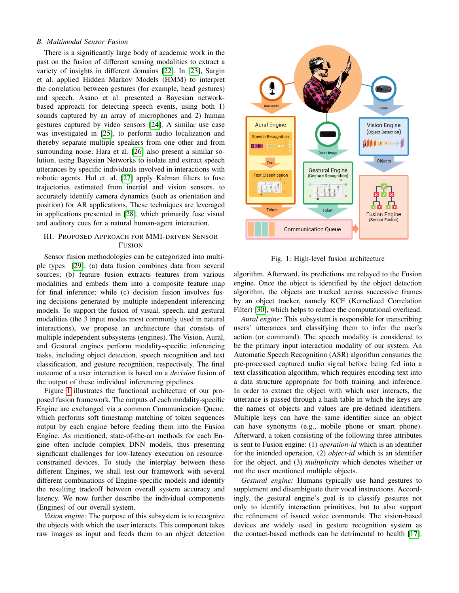## *B. Multimodal Sensor Fusion*

There is a significantly large body of academic work in the past on the fusion of different sensing modalities to extract a variety of insights in different domains [\[22\]](#page-8-21). In [\[23\]](#page-8-22), Sargin et al. applied Hidden Markov Models (HMM) to interpret the correlation between gestures (for example, head gestures) and speech. Asano et al. presented a Bayesian networkbased approach for detecting speech events, using both 1) sounds captured by an array of microphones and 2) human gestures captured by video sensors [\[24\]](#page-8-23). A similar use case was investigated in [\[25\]](#page-8-24), to perform audio localization and thereby separate multiple speakers from one other and from surrounding noise. Hara et al. [\[26\]](#page-8-25) also present a similar solution, using Bayesian Networks to isolate and extract speech utterances by specific individuals involved in interactions with robotic agents. Hol et. al. [\[27\]](#page-8-26) apply Kalman filters to fuse trajectories estimated from inertial and vision sensors, to accurately identify camera dynamics (such as orientation and position) for AR applications. These techniques are leveraged in applications presented in [\[28\]](#page-8-27), which primarily fuse visual and auditory cues for a natural human-agent interaction.

## III. PROPOSED APPROACH FOR MMI-DRIVEN SENSOR FUSION

Sensor fusion methodologies can be categorized into multiple types [\[29\]](#page-8-28): (a) data fusion combines data from several sources; (b) feature fusion extracts features from various modalities and embeds them into a composite feature map for final inference; while (c) decision fusion involves fusing decisions generated by multiple independent inferencing models. To support the fusion of visual, speech, and gestural modalities (the 3 input modes most commonly used in natural interactions), we propose an architecture that consists of multiple independent subsystems (engines). The Vision, Aural, and Gestural engines perform modality-specific inferencing tasks, including object detection, speech recognition and text classification, and gesture recognition, respectively. The final outcome of a user interaction is based on a *decision* fusion of the output of these individual inferencing pipelines.

Figure [1](#page-2-0) illustrates the functional architecture of our proposed fusion framework. The outputs of each modality-specific Engine are exchanged via a common Communication Queue, which performs soft timestamp matching of token sequences output by each engine before feeding them into the Fusion Engine. As mentioned, state-of-the-art methods for each Engine often include complex DNN models, thus presenting significant challenges for low-latency execution on resourceconstrained devices. To study the interplay between these different Engines, we shall test our framework with several different combinations of Engine-specific models and identify the resulting tradeoff between overall system accuracy and latency. We now further describe the individual components (Engines) of our overall system.

*Vision engine:* The purpose of this subsystem is to recognize the objects with which the user interacts. This component takes raw images as input and feeds them to an object detection

<span id="page-2-0"></span>

Fig. 1: High-level fusion architecture

algorithm. Afterward, its predictions are relayed to the Fusion engine. Once the object is identified by the object detection algorithm, the objects are tracked across successive frames by an object tracker, namely KCF (Kernelized Correlation Filter) [\[30\]](#page-8-29), which helps to reduce the computational overhead.

*Aural engine:* This subsystem is responsible for transcribing users' utterances and classifying them to infer the user's action (or command). The speech modality is considered to be the primary input interaction modality of our system. An Automatic Speech Recognition (ASR) algorithm consumes the pre-processed captured audio signal before being fed into a text classification algorithm, which requires encoding text into a data structure appropriate for both training and inference. In order to extract the object with which user interacts, the utterance is passed through a hash table in which the keys are the names of objects and values are pre-defined identifiers. Multiple keys can have the same identifier since an object can have synonyms (e.g., mobile phone or smart phone). Afterward, a token consisting of the following three attributes is sent to Fusion engine: (1) *operation-id* which is an identifier for the intended operation, (2) *object-id* which is an identifier for the object, and (3) *multiplicity* which denotes whether or not the user mentioned multiple objects.

*Gestural engine:* Humans typically use hand gestures to supplement and disambiguate their vocal instructions. Accordingly, the gestural engine's goal is to classify gestures not only to identify interaction primitives, but to also support the refinement of issued voice commands. The vision-based devices are widely used in gesture recognition system as the contact-based methods can be detrimental to health [\[17\]](#page-8-16).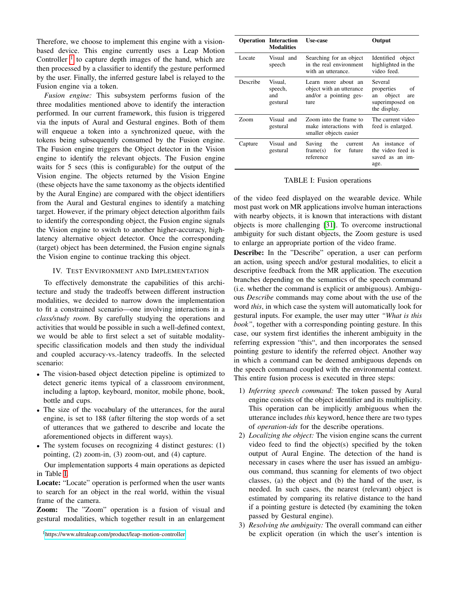Therefore, we choose to implement this engine with a visionbased device. This engine currently uses a Leap Motion Controller  $<sup>1</sup>$  $<sup>1</sup>$  $<sup>1</sup>$  to capture depth images of the hand, which are</sup> then processed by a classifier to identify the gesture performed by the user. Finally, the inferred gesture label is relayed to the Fusion engine via a token.

*Fusion engine:* This subsystem performs fusion of the three modalities mentioned above to identify the interaction performed. In our current framework, this fusion is triggered via the inputs of Aural and Gestural engines. Both of them will enqueue a token into a synchronized queue, with the tokens being subsequently consumed by the Fusion engine. The Fusion engine triggers the Object detector in the Vision engine to identify the relevant objects. The Fusion engine waits for 5 secs (this is configurable) for the output of the Vision engine. The objects returned by the Vision Engine (these objects have the same taxonomy as the objects identified by the Aural Engine) are compared with the object identifiers from the Aural and Gestural engines to identify a matching target. However, if the primary object detection algorithm fails to identify the corresponding object, the Fusion engine signals the Vision engine to switch to another higher-accuracy, highlatency alternative object detector. Once the corresponding (target) object has been determined, the Fusion engine signals the Vision engine to continue tracking this object.

## IV. TEST ENVIRONMENT AND IMPLEMENTATION

To effectively demonstrate the capabilities of this architecture and study the tradeoffs between different instruction modalities, we decided to narrow down the implementation to fit a constrained scenario—one involving interactions in a *class/study room*. By carefully studying the operations and activities that would be possible in such a well-defined context, we would be able to first select a set of suitable modalityspecific classification models and then study the individual and coupled accuracy-vs.-latency tradeoffs. In the selected scenario:

- The vision-based object detection pipeline is optimized to detect generic items typical of a classroom environment, including a laptop, keyboard, monitor, mobile phone, book, bottle and cups.
- The size of the vocabulary of the utterances, for the aural engine, is set to 188 (after filtering the stop words of a set of utterances that we gathered to describe and locate the aforementioned objects in different ways).
- The system focuses on recognizing 4 distinct gestures: (1) pointing, (2) zoom-in, (3) zoom-out, and (4) capture.

Our implementation supports 4 main operations as depicted in Table [I.](#page-3-1)

Locate: "Locate" operation is performed when the user wants to search for an object in the real world, within the visual frame of the camera.

Zoom: The "Zoom" operation is a fusion of visual and gestural modalities, which together result in an enlargement

<span id="page-3-0"></span><sup>1</sup><https://www.ultraleap.com/product/leap-motion-controller>

<span id="page-3-1"></span>

|          | <b>Operation Interaction</b><br><b>Modalities</b> | Use-case                                                                          | Output                                                                                |  |  |
|----------|---------------------------------------------------|-----------------------------------------------------------------------------------|---------------------------------------------------------------------------------------|--|--|
| Locate   | Visual and<br>speech                              | Searching for an object<br>in the real environment<br>with an utterance.          | Identified object<br>highlighted in the<br>video feed.                                |  |  |
| Describe | Visual,<br>speech,<br>and<br>gestural             | Learn more about an<br>object with an utterance<br>and/or a pointing ges-<br>ture | Several<br>properties<br>οf<br>object<br>an<br>are<br>superimposed on<br>the display. |  |  |
| Zoom     | Visual and<br>gestural                            | Zoom into the frame to<br>make interactions with<br>smaller objects easier        | The current video<br>feed is enlarged.                                                |  |  |
| Capture  | Visual and<br>gestural                            | Saving<br>the<br>current<br>frame(s)<br>for<br>future<br>reference                | An instance<br>- of<br>the video feed is<br>saved as an im-<br>age.                   |  |  |

TABLE I: Fusion operations

of the video feed displayed on the wearable device. While most past work on MR applications involve human interactions with nearby objects, it is known that interactions with distant objects is more challenging [\[31\]](#page-8-30). To overcome instructional ambiguity for such distant objects, the Zoom gesture is used to enlarge an appropriate portion of the video frame.

Describe: In the "Describe" operation, a user can perform an action, using speech and/or gestural modalities, to elicit a descriptive feedback from the MR application. The execution branches depending on the semantics of the speech command (i.e. whether the command is explicit or ambiguous). Ambiguous *Describe* commands may come about with the use of the word *this*, in which case the system will automatically look for gestural inputs. For example, the user may utter *"What is this book"*, together with a corresponding pointing gesture. In this case, our system first identifies the inherent ambiguity in the referring expression "this", and then incorporates the sensed pointing gesture to identify the referred object. Another way in which a command can be deemed ambiguous depends on the speech command coupled with the environmental context. This entire fusion process is executed in three steps:

- 1) *Inferring speech command:* The token passed by Aural engine consists of the object identifier and its multiplicity. This operation can be implicitly ambiguous when the utterance includes *this* keyword, hence there are two types of *operation-ids* for the describe operations.
- 2) *Localizing the object:* The vision engine scans the current video feed to find the object(s) specified by the token output of Aural Engine. The detection of the hand is necessary in cases where the user has issued an ambiguous command, thus scanning for elements of two object classes, (a) the object and (b) the hand of the user, is needed. In such cases, the nearest (relevant) object is estimated by comparing its relative distance to the hand if a pointing gesture is detected (by examining the token passed by Gestural engine).
- 3) *Resolving the ambiguity:* The overall command can either be explicit operation (in which the user's intention is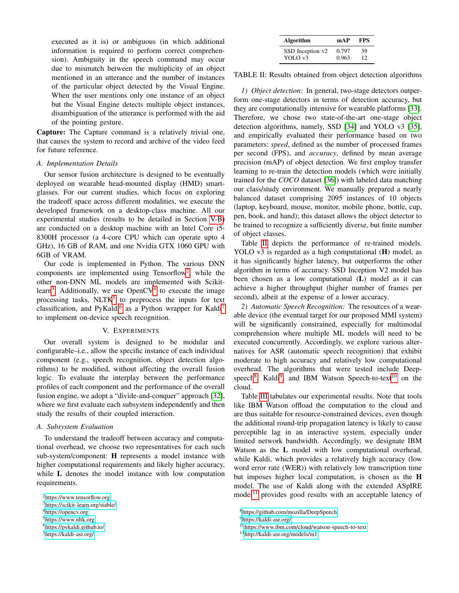executed as it is) or ambiguous (in which additional information is required to perform correct comprehension). Ambiguity in the speech command may occur due to mismatch between the multiplicity of an object mentioned in an utterance and the number of instances of the particular object detected by the Visual Engine. When the user mentions only one instance of an object but the Visual Engine detects multiple object instances, disambiguation of the utterance is performed with the aid of the pointing gesture.

Capture: The Capture command is a relatively trivial one, that causes the system to record and archive of the video feed for future reference.

#### *A. Implementation Details*

Our sensor fusion architecture is designed to be eventually deployed on wearable head-mounted display (HMD) smartglasses. For our current studies, which focus on exploring the tradeoff space across different modalities, we execute the developed framework on a desktop-class machine. All our experimental studies (results to be detailed in Section [V-B\)](#page-6-0) are conducted on a desktop machine with an Intel Core i5- 8300H processor (a 4-core CPU which can operate upto 4 GHz), 16 GB of RAM, and one Nvidia GTX 1060 GPU with 6GB of VRAM.

Our code is implemented in Python. The various DNN components are implemented using Tensorflow[2](#page-4-0) , while the other non-DNN ML models are implemented with Scikit-learn<sup>[3](#page-4-1)</sup>. Additionally, we use OpenCV<sup>[4](#page-4-2)</sup> to execute the image processing tasks,  $NLTK<sup>5</sup>$  $NLTK<sup>5</sup>$  $NLTK<sup>5</sup>$  to preprocess the inputs for text classification, and PyKaldi<sup>[6](#page-4-4)</sup> as a Python wrapper for Kaldi<sup>[7](#page-4-5)</sup> to implement on-device speech recognition.

#### V. EXPERIMENTS

Our overall system is designed to be modular and configurable–i.e., allow the specific instance of each individual component (e.g., speech recognition, object detection algorithms) to be modified, without affecting the overall fusion logic. To evaluate the interplay between the performance profiles of each component and the performance of the overall fusion engine, we adopt a "divide-and-conquer" approach [\[32\]](#page-8-31), where we first evaluate each subsystem independently and then study the results of their coupled interaction.

#### *A. Subsystem Evaluation*

To understand the tradeoff between accuracy and computational overhead, we choose two representatives for each such sub-system/component: H represents a model instance with higher computational requirements and likely higher accuracy, while L denotes the model instance with low computation requirements.

| <b>Algorithm</b> | mAP   | <b>FPS</b> |  |  |
|------------------|-------|------------|--|--|
| SSD Inception v2 | 0.797 | 39         |  |  |
| YOLO v3          | 0.963 | 12         |  |  |

<span id="page-4-6"></span>TABLE II: Results obtained from object detection algorithms

*1) Object detection:* In general, two-stage detectors outperform one-stage detectors in terms of detection accuracy, but they are computationally intensive for wearable platforms [\[33\]](#page-8-32). Therefore, we chose two state-of-the-art one-stage object detection algorithms, namely, SSD [\[34\]](#page-8-33) and YOLO v3 [\[35\]](#page-8-34), and empirically evaluated their performance based on two parameters: *speed*, defined as the number of processed frames per second (FPS), and *accuracy*, defined by mean average precision (mAP) of object detection. We first employ transfer learning to re-train the detection models (which were initially trained for the *COCO* dataset [\[36\]](#page-8-35)) with labeled data matching our class/study environment. We manually prepared a nearly balanced dataset comprising 2095 instances of 10 objects (laptop, keyboard, mouse, monitor, mobile phone, bottle, cup, pen, book, and hand); this dataset allows the object detector to be trained to recognize a sufficiently diverse, but finite number of object classes.

Table [II](#page-4-6) depicts the performance of re-trained models. YOLO v3 is regarded as a high computational (H) model, as it has significantly higher latency, but outperforms the other algorithm in terms of accuracy. SSD Inception V2 model has been chosen as a low computational (L) model as it can achieve a higher throughput (higher number of frames per second), albeit at the expense of a lower accuracy.

*2) Automatic Speech Recognition:* The resources of a wearable device (the eventual target for our proposed MMI system) will be significantly constrained, especially for multimodal comprehension where multiple ML models will need to be executed concurrently. Accordingly, we explore various alternatives for ASR (automatic speech recognition) that exhibit moderate to high accuracy and relatively low computational overhead. The algorithms that were tested include Deep-speech<sup>[8](#page-4-7)</sup>, Kaldi<sup>[9](#page-4-8)</sup>, and IBM Watson Speech-to-text<sup>[10](#page-4-9)</sup> on the cloud.

Table [III](#page-5-0) tabulates our experimental results. Note that tools like IBM Watson offload the computation to the cloud and are thus suitable for resource-constrained devices, even though the additional round-trip propagation latency is likely to cause perceptible lag in an interactive system, especially under limited network bandwidth. Accordingly, we designate IBM Watson as the L model with low computational overhead, while Kaldi, which provides a relatively high accuracy (low word error rate (WER)) with relatively low transcription time but imposes higher local computation, is chosen as the H model. The use of Kaldi along with the extended ASpIRE  $model<sup>11</sup>$  $model<sup>11</sup>$  $model<sup>11</sup>$  provides good results with an acceptable latency of

<span id="page-4-0"></span><sup>2</sup><https://www.tensorflow.org>

<span id="page-4-1"></span><sup>3</sup><https://scikit-learn.org/stable/>

<span id="page-4-2"></span><sup>4</sup><https://opencv.org>

<span id="page-4-3"></span><sup>5</sup><https://www.nltk.org>

<span id="page-4-4"></span><sup>6</sup><https://pykaldi.github.io/>

<span id="page-4-5"></span><sup>7</sup><https://kaldi-asr.org/>

<span id="page-4-7"></span><sup>8</sup><https://github.com/mozilla/DeepSpeech>

<span id="page-4-8"></span><sup>9</sup><https://kaldi-asr.org/>

<span id="page-4-9"></span><sup>10</sup><https://www.ibm.com/cloud/watson-speech-to-text>

<span id="page-4-10"></span><sup>11</sup><http://kaldi-asr.org/models/m1>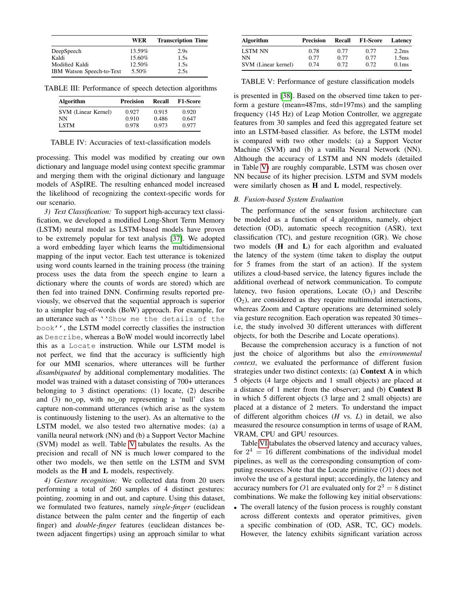<span id="page-5-0"></span>

|                           | WER    | <b>Transcription Time</b> |
|---------------------------|--------|---------------------------|
| DeepSpeech                | 13.59% | 2.9s                      |
| Kaldi                     | 15.60% | 1.5s                      |
| Modified Kaldi            | 12.50% | 1.5s                      |
| IBM Watson Speech-to-Text | 5.50%  | 2.5s                      |

TABLE III: Performance of speech detection algorithms

| Algorithm           | <b>Precision</b> | Recall | <b>F1-Score</b> |  |  |
|---------------------|------------------|--------|-----------------|--|--|
| SVM (Linear Kernel) | 0.927            | 0.915  | 0.920           |  |  |
| NΝ                  | 0.910            | 0.486  | 0.647           |  |  |
| <b>LSTM</b>         | 0.978            | 0.973  | 0.977           |  |  |

TABLE IV: Accuracies of text-classification models

processing. This model was modified by creating our own dictionary and language model using context specific grammar and merging them with the original dictionary and language models of ASpIRE. The resulting enhanced model increased the likelihood of recognizing the context-specific words for our scenario.

*3) Text Classification:* To support high-accuracy text classification, we developed a modified Long-Short Term Memory (LSTM) neural model as LSTM-based models have proven to be extremely popular for text analysis [\[37\]](#page-8-36). We adopted a word embedding layer which learns the multidimensional mapping of the input vector. Each test utterance is tokenized using word counts learned in the training process (the training process uses the data from the speech engine to learn a dictionary where the counts of words are stored) which are then fed into trained DNN. Confirming results reported previously, we observed that the sequential approach is superior to a simpler bag-of-words (BoW) approach. For example, for an utterance such as ''Show me the details of the book'', the LSTM model correctly classifies the instruction as Describe, whereas a BoW model would incorrectly label this as a Locate instruction. While our LSTM model is not perfect, we find that the accuracy is sufficiently high for our MMI scenarios, where utterances will be further *disambiguated* by additional complementary modalities. The model was trained with a dataset consisting of 700+ utterances belonging to 3 distinct operations: (1) locate, (2) describe and  $(3)$  no op, with no op representing a 'null' class to capture non-command utterances (which arise as the system is continuously listening to the user). As an alternative to the LSTM model, we also tested two alternative modes: (a) a vanilla neural network (NN) and (b) a Support Vector Machine (SVM) model as well. Table [V](#page-5-1) tabulates the results. As the precision and recall of NN is much lower compared to the other two models, we then settle on the LSTM and SVM models as the H and L models, respectively.

*4) Gesture recognition:* We collected data from 20 users performing a total of 260 samples of 4 distinct gestures: pointing, zooming in and out, and capture. Using this dataset, we formulated two features, namely *single-finger* (euclidean distance between the palm center and the fingertip of each finger) and *double-finger* features (euclidean distances between adjacent fingertips) using an approach similar to what

<span id="page-5-1"></span>

| <b>Algorithm</b>    | <b>Precision</b> | <b>Recall</b> | <b>F1-Score</b> | Latency           |
|---------------------|------------------|---------------|-----------------|-------------------|
| <b>LSTM NN</b>      | 0.78             | 0.77          | 0.77            | 2.2 <sub>ms</sub> |
| NΝ                  | 0.77             | 0.77          | 0.77            | 1.5 <sub>ms</sub> |
| SVM (Linear kernel) | 0.74             | 0.72          | 0.72            | 0.1 <sub>ms</sub> |

TABLE V: Performance of gesture classification models

is presented in [\[38\]](#page-8-37). Based on the observed time taken to perform a gesture (mean=487ms, std=197ms) and the sampling frequency (145 Hz) of Leap Motion Controller, we aggregate features from 30 samples and feed this aggregated feature set into an LSTM-based classifier. As before, the LSTM model is compared with two other models: (a) a Support Vector Machine (SVM) and (b) a vanilla Neural Network (NN). Although the accuracy of LSTM and NN models (detailed in Table [V\)](#page-5-1) are roughly comparable, LSTM was chosen over NN because of its higher precision. LSTM and SVM models were similarly chosen as H and L model, respectively.

#### *B. Fusion-based System Evaluation*

The performance of the sensor fusion architecture can be modeled as a function of 4 algorithms, namely, object detection (OD), automatic speech recognition (ASR), text classification (TC), and gesture recognition (GR). We chose two models (H and L) for each algorithm and evaluated the latency of the system (time taken to display the output for 5 frames from the start of an action). If the system utilizes a cloud-based service, the latency figures include the additional overhead of network communication. To compute latency, two fusion operations, Locate  $(O_1)$  and Describe  $(O<sub>2</sub>)$ , are considered as they require multimodal interactions, whereas Zoom and Capture operations are determined solely via gesture recognition. Each operation was repeated 30 times– i.e, the study involved 30 different utterances with different objects, for both the Describe and Locate operations).

Because the comprehension accuracy is a function of not just the choice of algorithms but also the *environmental context*, we evaluated the performance of different fusion strategies under two distinct contexts: (a) Context A in which 5 objects (4 large objects and 1 small objects) are placed at a distance of 1 meter from the observer; and (b) Context B in which 5 different objects (3 large and 2 small objects) are placed at a distance of 2 meters. To understand the impact of different algorithm choices (*H* vs. *L*) in detail, we also measured the resource consumption in terms of usage of RAM, VRAM, CPU and GPU resources.

Table [VI](#page-6-1) tabulates the observed latency and accuracy values, for  $2^4 = 16$  different combinations of the individual model pipelines, as well as the corresponding consumption of computing resources. Note that the Locate primitive  $(O1)$  does not involve the use of a gestural input; accordingly, the latency and accuracy numbers for O1 are evaluated only for  $2^3 = 8$  distinct combinations. We make the following key initial observations:

• The overall latency of the fusion process is roughly constant across different contexts and operator primitives, given a specific combination of (OD, ASR, TC, GC) models. However, the latency exhibits significant variation across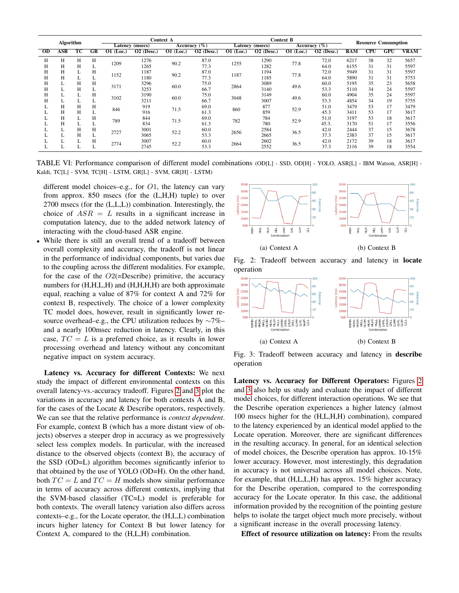<span id="page-6-1"></span>

| Algorithm       |     |    | Context A       |                           |                         |                           | <b>Context B</b>       |                        |                         |                        | <b>Resource Consumption</b> |            |                         |     |             |
|-----------------|-----|----|-----------------|---------------------------|-------------------------|---------------------------|------------------------|------------------------|-------------------------|------------------------|-----------------------------|------------|-------------------------|-----|-------------|
|                 |     |    | Latency (msecs) |                           | Accuracy $(\%)$         |                           | <b>Latency</b> (msecs) |                        | Accuracy $(\% )$        |                        |                             |            |                         |     |             |
| $\overline{OD}$ | ASR | тc | GR              | $\overline{01}$<br>(Loc.) | $\overline{O2}$ (Desc.) | $\overline{01}$<br>(Loc.) | $O2$ (Desc.)           | $\overline{O1}$ (Loc.) | $\overline{O2}$ (Desc.) | $\overline{O1}$ (Loc.) | $\overline{O2}$ (Desc.)     | <b>RAM</b> | $\overline{\text{CPU}}$ | GPU | <b>VRAM</b> |
| Н               | Н   | Н  | Н               | 1209                      | 1276                    | 90.2                      | 87.0                   | 1255                   | 1290                    | 77.8                   | 72.0                        | 6217       | 38                      | 32  | 5657        |
| Н               | Н   | Н  |                 |                           | 1265                    |                           | 77.3                   |                        | 1282                    |                        | 64.0                        | 6155       | 31                      | 31  | 5597        |
| Н               | Н   | L  | Н               | 1152                      | 1187                    | 90.2                      | 87.0                   | 1187                   | 1194                    | 77.8                   | 72.0                        | 5949       | 31                      | 31  | 5597        |
| Н               | Н   |    | ┻               |                           | 1180                    |                           | 77.3                   |                        | 1185                    |                        | 64.0                        | 5890       | 31                      | 31  | 5753        |
| Н               | L   | Н  | Н               | 3171                      | 3296                    | 60.0                      | 75.0                   | 2864                   | 3089                    | 49.6                   | 60.0                        | 5195       | 35                      | 23  | 5658        |
| Н               |     | Н  |                 |                           | 3253                    |                           | 66.7                   |                        | 3140                    |                        | 53.3                        | 5110       | 34                      | 24  | 5597        |
| Н               |     |    | Н               | 3102                      | 3190                    | 60.0                      | 75.0                   | 3048                   | 3149                    | 49.6                   | 60.0                        | 4904       | 35                      | 24  | 5597        |
| Н               |     |    |                 |                           | 3211                    |                           | 66.7                   |                        | 3007                    |                        | 53.3                        | 4854       | 34                      | 19  | 5755        |
|                 | Н   | Н  | Н               | 846                       | 919                     |                           | 69.0                   | 860                    | 877                     | 52.9                   | 51.0                        | 3479       | 53                      | 17  | 3479        |
|                 | Н   | Н  | ⊷               |                           | 916                     | 71.5                      | 61.3                   |                        | 859                     |                        | 45.3                        | 3411       | 53                      | 17  | 3617        |
|                 | Н   |    | Н               | 789                       | 844                     |                           | 69.0                   |                        | 784                     |                        | 51.0                        | 3197       | 53                      | 18  | 3617        |
|                 | H   |    |                 |                           | 834                     | 71.5                      | 61.3                   | 782                    | 780                     | 52.9                   | 45.3.                       | 3170       | 51                      | 17  | 3556        |
|                 | L   | Н  | н               |                           | 3001                    |                           | 60.0                   |                        | 2584                    |                        | 42.0                        | 2444       | 37                      | 15  | 3678        |
|                 |     | Н  |                 | 2727                      | 3065                    | 52.2                      | 53.3                   | 2656                   | 2665                    | 36.5                   | 37.3                        | 2383       | 37                      | 15  | 3617        |
|                 |     |    | п               | 2774                      | 3007                    |                           | 60.0                   |                        | 2602                    |                        | 42.0                        | 2172       | 39                      | 18  | 3617        |
|                 |     |    | ∸               |                           | 2745                    | 52.2                      | 53.3                   | 2664                   | 2552                    | 36.5                   | 37.3                        | 2116       | 39                      | 18  | 3554        |

TABLE VI: Performance comparison of different model combinations (OD[L] - SSD, OD[H] - YOLO, ASR[L] - IBM Watson, ASR[H] - Kaldi, TC[L] - SVM, TC[H] - LSTM, GR[L] - SVM, GR[H] - LSTM)

different model choices–e.g., for  $O1$ , the latency can vary from approx. 850 msecs (for the (L,H,H) tuple) to over 2700 msecs (for the (L,L,L)) combination. Interestingly, the choice of  $ASR = L$  results in a significant increase in computation latency, due to the added network latency of interacting with the cloud-based ASR engine.

While there is still an overall trend of a tradeoff between overall complexity and accuracy, the tradeoff is not linear in the performance of individual components, but varies due to the coupling across the different modalities. For example, for the case of the  $O2$ (=Describe) primitive, the accuracy numbers for  $(H,H,L,H)$  and  $(H,H,H,H)$  are both approximate equal, reaching a value of 87% for context A and 72% for context B, respectively. The choice of a lower complexity TC model does, however, result in significantly lower resource overhead–e.g., the CPU utilization reduces by ∼7%– and a nearly 100msec reduction in latency. Clearly, in this case,  $TC = L$  is a preferred choice, as it results in lower processing overhead and latency without any concomitant negative impact on system accuracy.

Latency vs. Accuracy for different Contexts: We next study the impact of different environmental contexts on this overall latency-vs.-accuracy tradeoff. Figures [2](#page-6-2) and [3](#page-6-0) plot the variations in accuracy and latency for both contexts A and B, for the cases of the Locate & Describe operators, respectively. We can see that the relative performance is *context dependent*. For example, context B (which has a more distant view of objects) observes a steeper drop in accuracy as we progressively select less complex models. In particular, with the increased distance to the observed objects (context B), the accuracy of the SSD (OD=L) algorithm becomes significantly inferior to that obtained by the use of YOLO (OD=H). On the other hand, both  $TC = L$  and  $TC = H$  models show similar performance in terms of accuracy across different contexts, implying that the SVM-based classifier (TC=L) model is preferable for both contexts. The overall latency variation also differs across contexts–e.g., for the Locate operator, the (H,L,L) combination incurs higher latency for Context B but lower latency for Context A, compared to the (H,L,H) combination.

<span id="page-6-2"></span>

Fig. 2: Tradeoff between accuracy and latency in locate operation

<span id="page-6-0"></span>

Fig. 3: Tradeoff between accuracy and latency in describe operation

Latency vs. Accuracy for Different Operators: Figures [2](#page-6-2) and [3](#page-6-0) also help us study and evaluate the impact of different model choices, for different interaction operations. We see that the Describe operation experiences a higher latency (almost 100 msecs higher for the (H,L,H,H) combination), compared to the latency experienced by an identical model applied to the Locate operation. Moreover, there are significant differences in the resulting accuracy. In general, for an identical selection of model choices, the Describe operation has approx. 10-15% lower accuracy. However, most interestingly, this degradation in accuracy is not universal across all model choices. Note, for example, that (H,L,L,H) has approx. 15% higher accuracy for the Describe operation, compared to the corresponding accuracy for the Locate operator. In this case, the additional information provided by the recognition of the pointing gesture helps to isolate the target object much more precisely, without a significant increase in the overall processing latency.

Effect of resource utilization on latency: From the results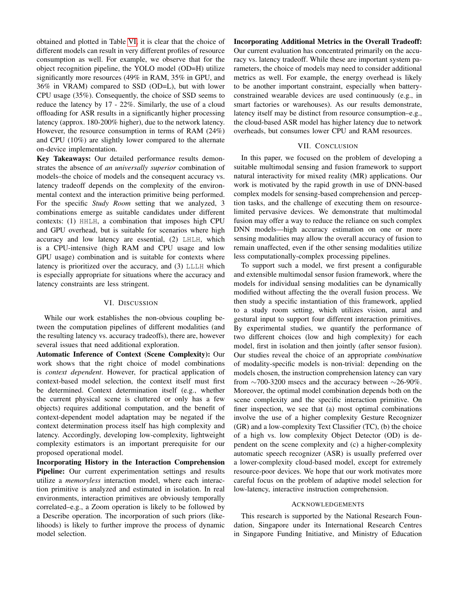obtained and plotted in Table [VI,](#page-6-1) it is clear that the choice of different models can result in very different profiles of resource consumption as well. For example, we observe that for the object recognition pipeline, the YOLO model (OD=H) utilize significantly more resources (49% in RAM, 35% in GPU, and 36% in VRAM) compared to SSD (OD=L), but with lower CPU usage (35%). Consequently, the choice of SSD seems to reduce the latency by 17 - 22%. Similarly, the use of a cloud offloading for ASR results in a significantly higher processing latency (approx. 180-200% higher), due to the network latency. However, the resource consumption in terms of RAM (24%) and CPU (10%) are slightly lower compared to the alternate on-device implementation.

Key Takeaways: Our detailed performance results demonstrates the absence of *an universally superior* combination of models–the choice of models and the consequent accuracy vs. latency tradeoff depends on the complexity of the environmental context and the interaction primitive being performed. For the specific *Study Room* setting that we analyzed, 3 combinations emerge as suitable candidates under different contexts: (1) HHLH, a combination that imposes high CPU and GPU overhead, but is suitable for scenarios where high accuracy and low latency are essential, (2) LHLH, which is a CPU-intensive (high RAM and CPU usage and low GPU usage) combination and is suitable for contexts where latency is prioritized over the accuracy, and (3) LLLH which is especially appropriate for situations where the accuracy and latency constraints are less stringent.

#### VI. DISCUSSION

While our work establishes the non-obvious coupling between the computation pipelines of different modalities (and the resulting latency vs. accuracy tradeoffs), there are, however several issues that need additional exploration.

Automatic Inference of Context (Scene Complexity): Our work shows that the right choice of model combinations is *context dependent*. However, for practical application of context-based model selection, the context itself must first be determined. Context determination itself (e.g., whether the current physical scene is cluttered or only has a few objects) requires additional computation, and the benefit of context-dependent model adaptation may be negated if the context determination process itself has high complexity and latency. Accordingly, developing low-complexity, lightweight complexity estimators is an important prerequisite for our proposed operational model.

Incorporating History in the Interaction Comprehension Pipeline: Our current experimentation settings and results utilize a *memoryless* interaction model, where each interaction primitive is analyzed and estimated in isolation. In real environments, interaction primitives are obviously temporally correlated–e.g., a Zoom operation is likely to be followed by a Describe operation. The incorporation of such priors (likelihoods) is likely to further improve the process of dynamic model selection.

Incorporating Additional Metrics in the Overall Tradeoff: Our current evaluation has concentrated primarily on the accuracy vs. latency tradeoff. While these are important system parameters, the choice of models may need to consider additional metrics as well. For example, the energy overhead is likely to be another important constraint, especially when batteryconstrained wearable devices are used continuously (e.g., in smart factories or warehouses). As our results demonstrate, latency itself may be distinct from resource consumption–e.g., the cloud-based ASR model has higher latency due to network overheads, but consumes lower CPU and RAM resources.

#### VII. CONCLUSION

In this paper, we focused on the problem of developing a suitable multimodal sensing and fusion framework to support natural interactivity for mixed reality (MR) applications. Our work is motivated by the rapid growth in use of DNN-based complex models for sensing-based comprehension and perception tasks, and the challenge of executing them on resourcelimited pervasive devices. We demonstrate that multimodal fusion may offer a way to reduce the reliance on such complex DNN models—high accuracy estimation on one or more sensing modalities may allow the overall accuracy of fusion to remain unaffected, even if the other sensing modalities utilize less computationally-complex processing pipelines.

To support such a model, we first present a configurable and extensible multimodal sensor fusion framework, where the models for individual sensing modalities can be dynamically modified without affecting the the overall fusion process. We then study a specific instantiation of this framework, applied to a study room setting, which utilizes vision, aural and gestural input to support four different interaction primitives. By experimental studies, we quantify the performance of two different choices (low and high complexity) for each model, first in isolation and then jointly (after sensor fusion). Our studies reveal the choice of an appropriate *combination* of modality-specific models is non-trivial: depending on the models chosen, the instruction comprehension latency can vary from  $\sim$ 700-3200 msecs and the accuracy between  $\sim$ 26-90%. Moreover, the optimal model combination depends both on the scene complexity and the specific interaction primitive. On finer inspection, we see that (a) most optimal combinations involve the use of a higher complexity Gesture Recognizer (GR) and a low-complexity Text Classifier (TC), (b) the choice of a high vs. low complexity Object Detector (OD) is dependent on the scene complexity and (c) a higher-complexity automatic speech recognizer (ASR) is usually preferred over a lower-complexity cloud-based model, except for extremely resource-poor devices. We hope that our work motivates more careful focus on the problem of adaptive model selection for low-latency, interactive instruction comprehension.

#### ACKNOWLEDGEMENTS

This research is supported by the National Research Foundation, Singapore under its International Research Centres in Singapore Funding Initiative, and Ministry of Education